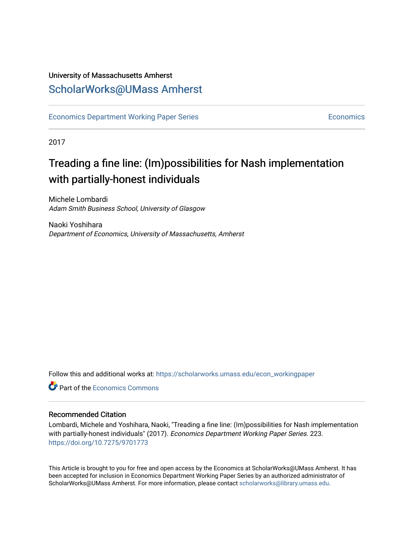## University of Massachusetts Amherst [ScholarWorks@UMass Amherst](https://scholarworks.umass.edu/)

[Economics Department Working Paper Series](https://scholarworks.umass.edu/econ_workingpaper) **Economics** [Economics](https://scholarworks.umass.edu/economics) Economics

2017

## Treading a fine line: (Im)possibilities for Nash implementation with partially-honest individuals

Michele Lombardi Adam Smith Business School, University of Glasgow

Naoki Yoshihara Department of Economics, University of Massachusetts, Amherst

Follow this and additional works at: [https://scholarworks.umass.edu/econ\\_workingpaper](https://scholarworks.umass.edu/econ_workingpaper?utm_source=scholarworks.umass.edu%2Fecon_workingpaper%2F223&utm_medium=PDF&utm_campaign=PDFCoverPages) 

**C** Part of the [Economics Commons](http://network.bepress.com/hgg/discipline/340?utm_source=scholarworks.umass.edu%2Fecon_workingpaper%2F223&utm_medium=PDF&utm_campaign=PDFCoverPages)

#### Recommended Citation

Lombardi, Michele and Yoshihara, Naoki, "Treading a fine line: (Im)possibilities for Nash implementation with partially-honest individuals" (2017). Economics Department Working Paper Series. 223. <https://doi.org/10.7275/9701773>

This Article is brought to you for free and open access by the Economics at ScholarWorks@UMass Amherst. It has been accepted for inclusion in Economics Department Working Paper Series by an authorized administrator of ScholarWorks@UMass Amherst. For more information, please contact [scholarworks@library.umass.edu.](mailto:scholarworks@library.umass.edu)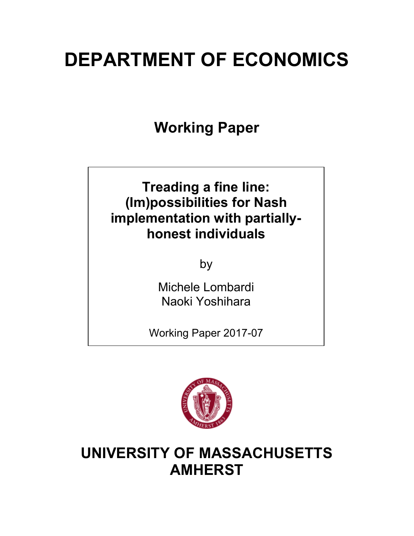# **DEPARTMENT OF ECONOMICS**

**Working Paper**

## **Treading a fine line: (Im)possibilities for Nash implementation with partiallyhonest individuals**

by

Michele Lombardi Naoki Yoshihara

Working Paper 2017-07



**UNIVERSITY OF MASSACHUSETTS AMHERST**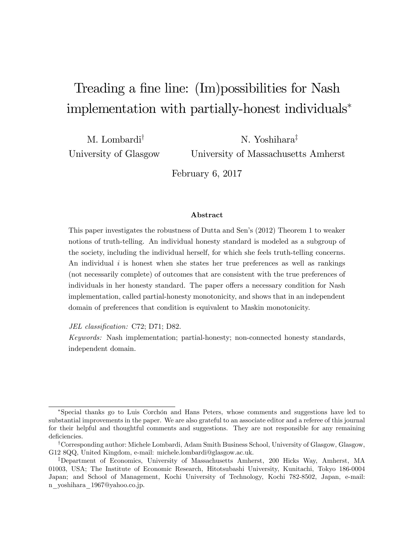## Treading a fine line: (Im)possibilities for Nash implementation with partially-honest individuals<sup>∗</sup>

M. Lombardi† University of Glasgow N. Yoshihara‡

University of Massachusetts Amherst

February 6, 2017

#### Abstract

This paper investigates the robustness of Dutta and Sen's (2012) Theorem 1 to weaker notions of truth-telling. An individual honesty standard is modeled as a subgroup of the society, including the individual herself, for which she feels truth-telling concerns. An individual *i* is honest when she states her true preferences as well as rankings (not necessarily complete) of outcomes that are consistent with the true preferences of individuals in her honesty standard. The paper offers a necessary condition for Nash implementation, called partial-honesty monotonicity, and shows that in an independent domain of preferences that condition is equivalent to Maskin monotonicity.

*JEL classification:* C72; D71; D82.

*Keywords:* Nash implementation; partial-honesty; non-connected honesty standards, independent domain.

<sup>∗</sup>Special thanks go to Luis Corchón and Hans Peters, whose comments and suggestions have led to substantial improvements in the paper. We are also grateful to an associate editor and a referee of this journal for their helpful and thoughtful comments and suggestions. They are not responsible for any remaining deficiencies.

<sup>†</sup>Corresponding author: Michele Lombardi, Adam Smith Business School, University of Glasgow, Glasgow, G12 8QQ, United Kingdom, e-mail: michele.lombardi@glasgow.ac.uk.

<sup>‡</sup>Department of Economics, University of Massachusetts Amherst, 200 Hicks Way, Amherst, MA 01003, USA; The Institute of Economic Research, Hitotsubashi University, Kunitachi, Tokyo 186-0004 Japan; and School of Management, Kochi University of Technology, Kochi 782-8502, Japan, e-mail: n\_yoshihara\_1967@yahoo.co.jp.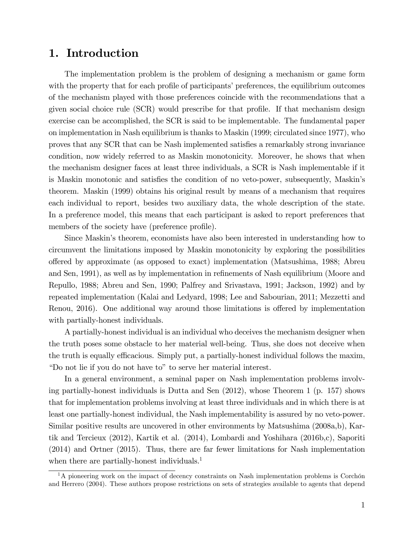## 1. Introduction

The implementation problem is the problem of designing a mechanism or game form with the property that for each profile of participants' preferences, the equilibrium outcomes of the mechanism played with those preferences coincide with the recommendations that a given social choice rule (SCR) would prescribe for that profile. If that mechanism design exercise can be accomplished, the SCR is said to be implementable. The fundamental paper on implementation in Nash equilibrium is thanks to Maskin (1999; circulated since 1977), who proves that any SCR that can be Nash implemented satisfies a remarkably strong invariance condition, now widely referred to as Maskin monotonicity. Moreover, he shows that when the mechanism designer faces at least three individuals, a SCR is Nash implementable if it is Maskin monotonic and satisfies the condition of no veto-power, subsequently, Maskin's theorem. Maskin (1999) obtains his original result by means of a mechanism that requires each individual to report, besides two auxiliary data, the whole description of the state. In a preference model, this means that each participant is asked to report preferences that members of the society have (preference profile).

Since Maskin's theorem, economists have also been interested in understanding how to circumvent the limitations imposed by Maskin monotonicity by exploring the possibilities o§ered by approximate (as opposed to exact) implementation (Matsushima, 1988; Abreu and Sen, 1991), as well as by implementation in refinements of Nash equilibrium (Moore and Repullo, 1988; Abreu and Sen, 1990; Palfrey and Srivastava, 1991; Jackson, 1992) and by repeated implementation (Kalai and Ledyard, 1998; Lee and Sabourian, 2011; Mezzetti and Renou, 2016). One additional way around those limitations is offered by implementation with partially-honest individuals.

A partially-honest individual is an individual who deceives the mechanism designer when the truth poses some obstacle to her material well-being. Thus, she does not deceive when the truth is equally efficacious. Simply put, a partially-honest individual follows the maxim, "Do not lie if you do not have to" to serve her material interest.

In a general environment, a seminal paper on Nash implementation problems involving partially-honest individuals is Dutta and Sen (2012), whose Theorem 1 (p. 157) shows that for implementation problems involving at least three individuals and in which there is at least one partially-honest individual, the Nash implementability is assured by no veto-power. Similar positive results are uncovered in other environments by Matsushima (2008a,b), Kartik and Tercieux (2012), Kartik et al. (2014), Lombardi and Yoshihara (2016b,c), Saporiti (2014) and Ortner (2015). Thus, there are far fewer limitations for Nash implementation when there are partially-honest individuals.<sup>1</sup>

<sup>&</sup>lt;sup>1</sup>A pioneering work on the impact of decency constraints on Nash implementation problems is Corchón and Herrero (2004). These authors propose restrictions on sets of strategies available to agents that depend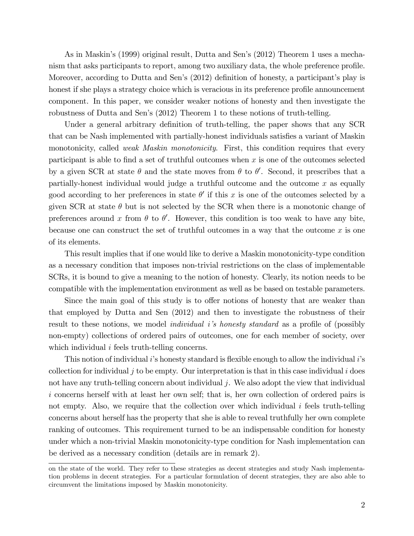As in Maskin's (1999) original result, Dutta and Sen's (2012) Theorem 1 uses a mechanism that asks participants to report, among two auxiliary data, the whole preference profile. Moreover, according to Dutta and Sen's (2012) definition of honesty, a participant's play is honest if she plays a strategy choice which is veracious in its preference profile announcement component. In this paper, we consider weaker notions of honesty and then investigate the robustness of Dutta and Sen's (2012) Theorem 1 to these notions of truth-telling.

Under a general arbitrary definition of truth-telling, the paper shows that any SCR that can be Nash implemented with partially-honest individuals satisfies a variant of Maskin monotonicity, called *weak Maskin monotonicity*. First, this condition requires that every participant is able to find a set of truthful outcomes when *x* is one of the outcomes selected by a given SCR at state  $\theta$  and the state moves from  $\theta$  to  $\theta'$ . Second, it prescribes that a partially-honest individual would judge a truthful outcome and the outcome *x* as equally good according to her preferences in state  $\theta'$  if this x is one of the outcomes selected by a given SCR at state  $\theta$  but is not selected by the SCR when there is a monotonic change of preferences around x from  $\theta$  to  $\theta'$ . However, this condition is too weak to have any bite, because one can construct the set of truthful outcomes in a way that the outcome *x* is one of its elements.

This result implies that if one would like to derive a Maskin monotonicity-type condition as a necessary condition that imposes non-trivial restrictions on the class of implementable SCRs, it is bound to give a meaning to the notion of honesty. Clearly, its notion needs to be compatible with the implementation environment as well as be based on testable parameters.

Since the main goal of this study is to offer notions of honesty that are weaker than that employed by Dutta and Sen (2012) and then to investigate the robustness of their result to these notions, we model *individual i's honesty standard* as a profile of (possibly non-empty) collections of ordered pairs of outcomes, one for each member of society, over which individual *i* feels truth-telling concerns.

This notion of individual *i*'s honesty standard is flexible enough to allow the individual *i*'s collection for individual  $j$  to be empty. Our interpretation is that in this case individual  $i$  does not have any truth-telling concern about individual *j*. We also adopt the view that individual *i* concerns herself with at least her own self; that is, her own collection of ordered pairs is not empty. Also, we require that the collection over which individual *i* feels truth-telling concerns about herself has the property that she is able to reveal truthfully her own complete ranking of outcomes. This requirement turned to be an indispensable condition for honesty under which a non-trivial Maskin monotonicity-type condition for Nash implementation can be derived as a necessary condition (details are in remark 2).

on the state of the world. They refer to these strategies as decent strategies and study Nash implementation problems in decent strategies. For a particular formulation of decent strategies, they are also able to circumvent the limitations imposed by Maskin monotonicity.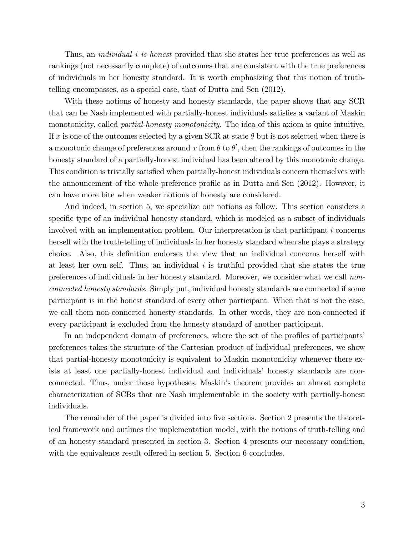Thus, an *individual i is honest* provided that she states her true preferences as well as rankings (not necessarily complete) of outcomes that are consistent with the true preferences of individuals in her honesty standard. It is worth emphasizing that this notion of truthtelling encompasses, as a special case, that of Dutta and Sen (2012).

With these notions of honesty and honesty standards, the paper shows that any SCR that can be Nash implemented with partially-honest individuals satisfies a variant of Maskin monotonicity, called *partial-honesty monotonicity*. The idea of this axiom is quite intuitive. If x is one of the outcomes selected by a given SCR at state  $\theta$  but is not selected when there is a monotonic change of preferences around x from  $\theta$  to  $\theta'$ , then the rankings of outcomes in the honesty standard of a partially-honest individual has been altered by this monotonic change. This condition is trivially satisfied when partially-honest individuals concern themselves with the announcement of the whole preference profile as in Dutta and Sen (2012). However, it can have more bite when weaker notions of honesty are considered.

And indeed, in section 5, we specialize our notions as follow. This section considers a specific type of an individual honesty standard, which is modeled as a subset of individuals involved with an implementation problem. Our interpretation is that participant *i* concerns herself with the truth-telling of individuals in her honesty standard when she plays a strategy choice. Also, this definition endorses the view that an individual concerns herself with at least her own self. Thus, an individual *i* is truthful provided that she states the true preferences of individuals in her honesty standard. Moreover, we consider what we call *nonconnected honesty standards*. Simply put, individual honesty standards are connected if some participant is in the honest standard of every other participant. When that is not the case, we call them non-connected honesty standards. In other words, they are non-connected if every participant is excluded from the honesty standard of another participant.

In an independent domain of preferences, where the set of the profiles of participants' preferences takes the structure of the Cartesian product of individual preferences, we show that partial-honesty monotonicity is equivalent to Maskin monotonicity whenever there exists at least one partially-honest individual and individuals' honesty standards are nonconnected. Thus, under those hypotheses, Maskin's theorem provides an almost complete characterization of SCRs that are Nash implementable in the society with partially-honest individuals.

The remainder of the paper is divided into five sections. Section 2 presents the theoretical framework and outlines the implementation model, with the notions of truth-telling and of an honesty standard presented in section 3. Section 4 presents our necessary condition, with the equivalence result offered in section 5. Section 6 concludes.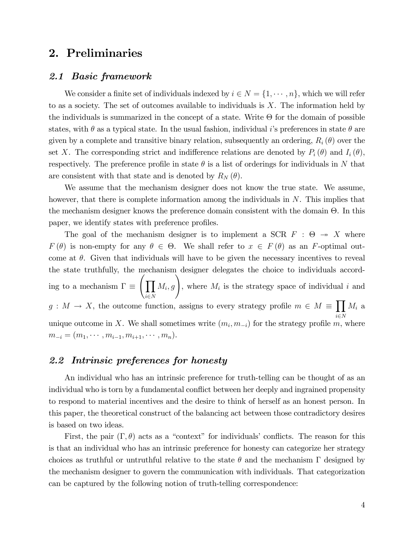## 2. Preliminaries

#### *2.1 Basic framework*

We consider a finite set of individuals indexed by  $i \in N = \{1, \dots, n\}$ , which we will refer to as a society. The set of outcomes available to individuals is *X*. The information held by the individuals is summarized in the concept of a state. Write  $\Theta$  for the domain of possible states, with  $\theta$  as a typical state. In the usual fashion, individual *i*'s preferences in state  $\theta$  are given by a complete and transitive binary relation, subsequently an ordering,  $R_i(\theta)$  over the set *X*. The corresponding strict and indifference relations are denoted by  $P_i(\theta)$  and  $I_i(\theta)$ , respectively. The preference profile in state  $\theta$  is a list of orderings for individuals in  $N$  that are consistent with that state and is denoted by  $R_N(\theta)$ .

We assume that the mechanism designer does not know the true state. We assume, however, that there is complete information among the individuals in *N*. This implies that the mechanism designer knows the preference domain consistent with the domain Θ. In this paper, we identify states with preference profiles.

The goal of the mechanism designer is to implement a SCR  $F : \Theta \rightarrow X$  where *F*( $\theta$ ) is non-empty for any  $\theta \in \Theta$ . We shall refer to  $x \in F(\theta)$  as an *F*-optimal outcome at  $\theta$ . Given that individuals will have to be given the necessary incentives to reveal the state truthfully, the mechanism designer delegates the choice to individuals according to a mechanism  $\Gamma \equiv$  $\sqrt{\Pi}$  $i \in N$  $M_i$ , *g*), where  $M_i$  is the strategy space of individual *i* and  $g: M \to X$ , the outcome function, assigns to every strategy profile  $m \in M \equiv \prod M_i$  a  $i \in N$ unique outcome in *X*. We shall sometimes write  $(m_i, m_{-i})$  for the strategy profile *m*, where  $m_{-i} = (m_1, \cdots, m_{i-1}, m_{i+1}, \cdots, m_n).$ 

#### *2.2 Intrinsic preferences for honesty*

An individual who has an intrinsic preference for truth-telling can be thought of as an individual who is torn by a fundamental conflict between her deeply and ingrained propensity to respond to material incentives and the desire to think of herself as an honest person. In this paper, the theoretical construct of the balancing act between those contradictory desires is based on two ideas.

First, the pair  $(\Gamma, \theta)$  acts as a "context" for individuals' conflicts. The reason for this is that an individual who has an intrinsic preference for honesty can categorize her strategy choices as truthful or untruthful relative to the state  $\theta$  and the mechanism  $\Gamma$  designed by the mechanism designer to govern the communication with individuals. That categorization can be captured by the following notion of truth-telling correspondence: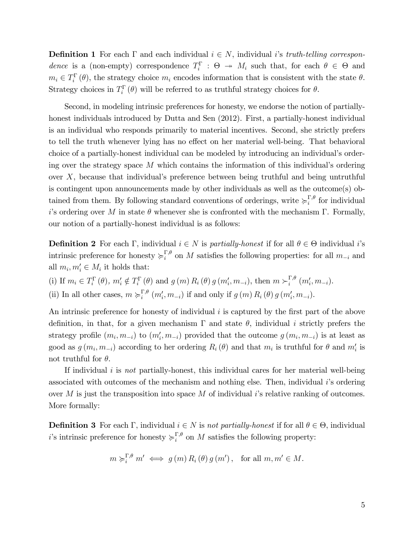**Definition 1** For each  $\Gamma$  and each individual  $i \in N$ , individual *i*'s *truth-telling correspondence* is a (non-empty) correspondence  $T_i^{\Gamma}$  :  $\Theta \rightarrow M_i$  such that, for each  $\theta \in \Theta$  and  $m_i \in T_i^{\Gamma}(\theta)$ , the strategy choice  $m_i$  encodes information that is consistent with the state  $\theta$ . Strategy choices in  $T_i^{\Gamma}(\theta)$  will be referred to as truthful strategy choices for  $\theta$ .

Second, in modeling intrinsic preferences for honesty, we endorse the notion of partiallyhonest individuals introduced by Dutta and Sen (2012). First, a partially-honest individual is an individual who responds primarily to material incentives. Second, she strictly prefers to tell the truth whenever lying has no effect on her material well-being. That behavioral choice of a partially-honest individual can be modeled by introducing an individual's ordering over the strategy space *M* which contains the information of this individual's ordering over *X*, because that individual's preference between being truthful and being untruthful is contingent upon announcements made by other individuals as well as the outcome(s) obtained from them. By following standard conventions of orderings, write  $\succcurlyeq_i^{\Gamma,\theta}$  for individual *i*'s ordering over *M* in state  $\theta$  whenever she is confronted with the mechanism Γ. Formally, our notion of a partially-honest individual is as follows:

**Definition 2** For each Γ, individual  $i \in N$  is *partially-honest* if for all  $\theta \in \Theta$  individual *i*'s intrinsic preference for honesty  $\succeq_i^{\Gamma,\theta}$  on *M* satisfies the following properties: for all  $m_{-i}$  and all  $m_i, m'_i \in M_i$  it holds that:

(i) If  $m_i \in T_i^{\Gamma}(\theta)$ ,  $m'_i \notin T_i^{\Gamma}(\theta)$  and  $g(m) R_i(\theta) g(m'_i, m_{-i})$ , then  $m \succ_i^{\Gamma,\theta} (m'_i, m_{-i})$ . (ii) In all other cases,  $m \succ_i^{\Gamma,\theta} (m'_i, m_{-i})$  if and only if  $g(m) R_i(\theta) g(m'_i, m_{-i})$ .

An intrinsic preference for honesty of individual *i* is captured by the first part of the above definition, in that, for a given mechanism  $\Gamma$  and state  $\theta$ , individual *i* strictly prefers the strategy profile  $(m_i, m_{-i})$  to  $(m'_i, m_{-i})$  provided that the outcome  $g(m_i, m_{-i})$  is at least as good as  $g(m_i, m_{-i})$  according to her ordering  $R_i(\theta)$  and that  $m_i$  is truthful for  $\theta$  and  $m'_i$  is not truthful for  $\theta$ .

If individual *i* is *not* partially-honest, this individual cares for her material well-being associated with outcomes of the mechanism and nothing else. Then, individual *i*'s ordering over *M* is just the transposition into space *M* of individual *i*'s relative ranking of outcomes. More formally:

**Definition 3** For each Γ, individual  $i \in N$  is *not partially-honest* if for all  $\theta \in \Theta$ , individual *i*'s intrinsic preference for honesty  $\succcurlyeq_i^{\Gamma,\theta}$  on *M* satisfies the following property:

$$
m \succ_i^{\Gamma,\theta} m' \iff g(m) R_i(\theta) g(m'), \text{ for all } m, m' \in M.
$$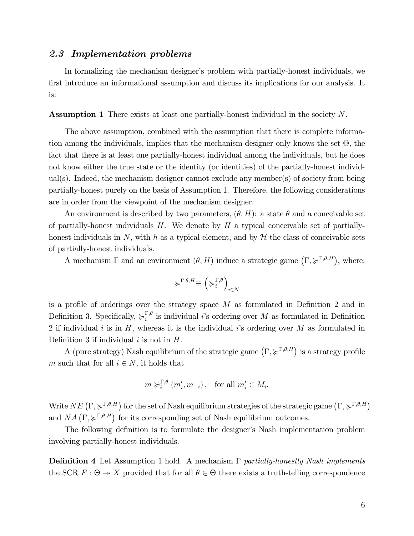### *2.3 Implementation problems*

In formalizing the mechanism designer's problem with partially-honest individuals, we first introduce an informational assumption and discuss its implications for our analysis. It is:

Assumption 1 There exists at least one partially-honest individual in the society *N*.

The above assumption, combined with the assumption that there is complete information among the individuals, implies that the mechanism designer only knows the set Θ, the fact that there is at least one partially-honest individual among the individuals, but he does not know either the true state or the identity (or identities) of the partially-honest individual(s). Indeed, the mechanism designer cannot exclude any member(s) of society from being partially-honest purely on the basis of Assumption 1. Therefore, the following considerations are in order from the viewpoint of the mechanism designer.

An environment is described by two parameters,  $(\theta, H)$ : a state  $\theta$  and a conceivable set of partially-honest individuals *H*. We denote by *H* a typical conceivable set of partiallyhonest individuals in N, with h as a typical element, and by  $H$  the class of conceivable sets of partially-honest individuals.

A mechanism  $\Gamma$  and an environment  $(\theta, H)$  induce a strategic game  $(\Gamma, \succcurlyeq^{\Gamma, \theta, H})$ , where:

$$
\succcurlyeq^{\Gamma,\theta,H} \equiv \left(\succcurlyeq^{\Gamma,\theta}_i\right)_{i \in N}
$$

is a profile of orderings over the strategy space *M* as formulated in Definition 2 and in Definition 3. Specifically,  $\succ_i^{\Gamma,\theta}$  is individual *i*'s ordering over *M* as formulated in Definition 2 if individual *i* is in *H*, whereas it is the individual *i*'s ordering over *M* as formulated in Definition 3 if individual *i* is not in *H*.

A (pure strategy) Nash equilibrium of the strategic game  $(\Gamma, \succcurlyeq^{\Gamma,\theta,H})$  is a strategy profile *m* such that for all  $i \in N$ , it holds that

$$
m \succ_i^{\Gamma, \theta} (m'_i, m_{-i}),
$$
 for all  $m'_i \in M_i$ .

Write  $NE\left(\Gamma,\succcurlyeq^{\Gamma,\theta,H}\right)$  for the set of Nash equilibrium strategies of the strategic game  $\left(\Gamma,\succcurlyeq^{\Gamma,\theta,H}\right)$ and  $NA\left(\Gamma,\succcurlyeq^{\Gamma,\theta,H}\right)$  for its corresponding set of Nash equilibrium outcomes.

The following definition is to formulate the designer's Nash implementation problem involving partially-honest individuals.

Definition 4 Let Assumption 1 hold. A mechanism Γ *partially-honestly Nash implements* the SCR  $F: \Theta \to X$  provided that for all  $\theta \in \Theta$  there exists a truth-telling correspondence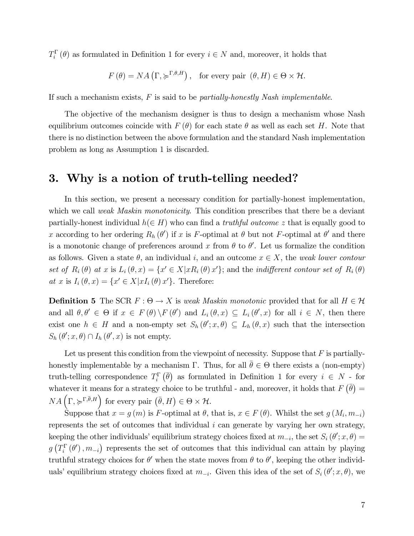$T_i^{\Gamma}(\theta)$  as formulated in Definition 1 for every  $i \in N$  and, moreover, it holds that

$$
F(\theta) = NA\left(\Gamma, \succcurlyeq^{\Gamma, \theta, H}\right), \text{ for every pair } (\theta, H) \in \Theta \times \mathcal{H}.
$$

If such a mechanism exists, *F* is said to be *partially-honestly Nash implementable*.

The objective of the mechanism designer is thus to design a mechanism whose Nash equilibrium outcomes coincide with  $F(\theta)$  for each state  $\theta$  as well as each set *H*. Note that there is no distinction between the above formulation and the standard Nash implementation problem as long as Assumption 1 is discarded.

### 3. Why is a notion of truth-telling needed?

In this section, we present a necessary condition for partially-honest implementation, which we call *weak Maskin monotonicity*. This condition prescribes that there be a deviant partially-honest individual  $h(\in H)$  who can find a *truthful outcome z* that is equally good to *x* according to her ordering  $R_h(\theta')$  if *x* is *F*-optimal at  $\theta$  but not *F*-optimal at  $\theta'$  and there is a monotonic change of preferences around x from  $\theta$  to  $\theta'$ . Let us formalize the condition as follows. Given a state  $\theta$ , an individual *i*, and an outcome  $x \in X$ , the *weak lower contour set of*  $R_i(\theta)$  *at x* is  $L_i(\theta, x) = \{x' \in X | xR_i(\theta) x'\}$ ; and the *indifferent contour set of*  $R_i(\theta)$  $at x$  is  $I_i(\theta, x) = \{x' \in X | xI_i(\theta) x'\}.$  Therefore:

**Definition 5** The SCR  $F : \Theta \to X$  is *weak Maskin monotonic* provided that for all  $H \in \mathcal{H}$ and all  $\theta, \theta' \in \Theta$  if  $x \in F(\theta) \backslash F(\theta')$  and  $L_i(\theta, x) \subseteq L_i(\theta', x)$  for all  $i \in N$ , then there exist one  $h \in H$  and a non-empty set  $S_h(\theta'; x, \theta) \subseteq L_h(\theta, x)$  such that the intersection  $S_h(\theta'; x, \theta) \cap I_h(\theta', x)$  is not empty.

Let us present this condition from the viewpoint of necessity. Suppose that *F* is partiallyhonestly implementable by a mechanism Γ. Thus, for all  $\bar{\theta} \in \Theta$  there exists a (non-empty) truth-telling correspondence  $T_i^{\Gamma}(\bar{\theta})$  as formulated in Definition 1 for every  $i \in N$  - for whatever it means for a strategy choice to be truthful - and, moreover, it holds that  $F(\bar{\theta}) =$  $NA\left(\Gamma,\succcurlyeq^{\Gamma,\bar{\theta},H}\right)$  for every pair  $(\bar{\theta},H)\in\Theta\times\mathcal{H}$ .

Suppose that  $x = g(m)$  is *F*-optimal at  $\theta$ , that is,  $x \in F(\theta)$ . Whilst the set  $g(M_i, m_{-i})$ represents the set of outcomes that individual *i* can generate by varying her own strategy, keeping the other individuals' equilibrium strategy choices fixed at  $m_{-i}$ , the set  $S_i(\theta'; x, \theta) =$  $g(T_i^{\Gamma}(\theta'), m_{-i})$  represents the set of outcomes that this individual can attain by playing truthful strategy choices for  $\theta'$  when the state moves from  $\theta$  to  $\theta'$ , keeping the other individuals' equilibrium strategy choices fixed at  $m_{-i}$ . Given this idea of the set of  $S_i(\theta'; x, \theta)$ , we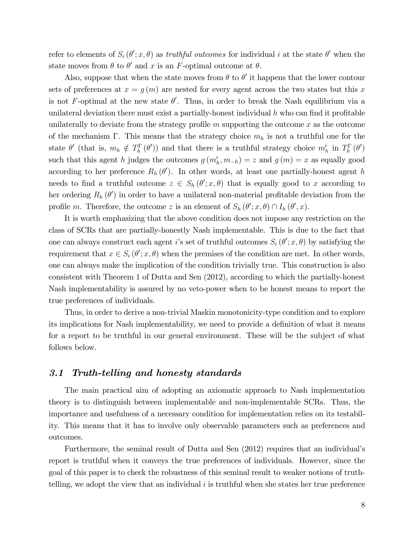refer to elements of  $S_i(\theta'; x, \theta)$  as *truthful outcomes* for individual *i* at the state  $\theta'$  when the state moves from  $\theta$  to  $\theta'$  and *x* is an *F*-optimal outcome at  $\theta$ .

Also, suppose that when the state moves from  $\theta$  to  $\theta'$  it happens that the lower contour sets of preferences at  $x = g(m)$  are nested for every agent across the two states but this x is not *F*-optimal at the new state  $\theta'$ . Thus, in order to break the Nash equilibrium via a unilateral deviation there must exist a partially-honest individual *h* who can find it profitable unilaterally to deviate from the strategy profile *m* supporting the outcome *x* as the outcome of the mechanism Γ. This means that the strategy choice *m<sup>h</sup>* is not a truthful one for the state  $\theta'$  (that is,  $m_h \notin T_h^{\Gamma}(\theta')$ ) and that there is a truthful strategy choice  $m'_h$  in  $T_h^{\Gamma}(\theta')$ such that this agent *h* judges the outcomes  $g(m'_h, m_{-h}) = z$  and  $g(m) = x$  as equally good according to her preference  $R_h(\theta')$ . In other words, at least one partially-honest agent *h* needs to find a truthful outcome  $z \in S_h(\theta'; x, \theta)$  that is equally good to *x* according to her ordering  $R_h(\theta')$  in order to have a unilateral non-material profitable deviation from the profile *m*. Therefore, the outcome *z* is an element of  $S_h(\theta'; x, \theta) \cap I_h(\theta', x)$ .

It is worth emphasizing that the above condition does not impose any restriction on the class of SCRs that are partially-honestly Nash implementable. This is due to the fact that one can always construct each agent *i*'s set of truthful outcomes  $S_i(\theta'; x, \theta)$  by satisfying the requirement that  $x \in S_i(\theta'; x, \theta)$  when the premises of the condition are met. In other words, one can always make the implication of the condition trivially true. This construction is also consistent with Theorem 1 of Dutta and Sen (2012), according to which the partially-honest Nash implementability is assured by no veto-power when to be honest means to report the true preferences of individuals.

Thus, in order to derive a non-trivial Maskin monotonicity-type condition and to explore its implications for Nash implementability, we need to provide a definition of what it means for a report to be truthful in our general environment. These will be the subject of what follows below.

#### *3.1 Truth-telling and honesty standards*

The main practical aim of adopting an axiomatic approach to Nash implementation theory is to distinguish between implementable and non-implementable SCRs. Thus, the importance and usefulness of a necessary condition for implementation relies on its testability. This means that it has to involve only observable parameters such as preferences and outcomes.

Furthermore, the seminal result of Dutta and Sen (2012) requires that an individual's report is truthful when it conveys the true preferences of individuals. However, since the goal of this paper is to check the robustness of this seminal result to weaker notions of truthtelling, we adopt the view that an individual *i* is truthful when she states her true preference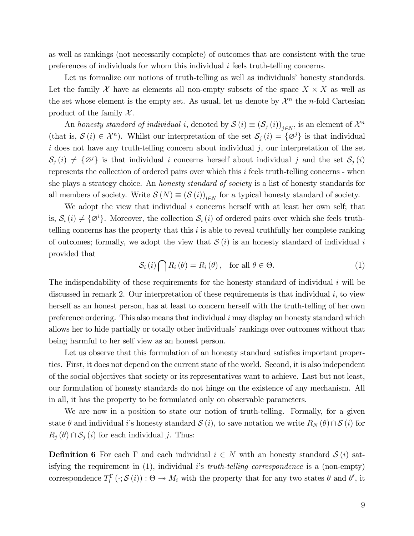as well as rankings (not necessarily complete) of outcomes that are consistent with the true preferences of individuals for whom this individual *i* feels truth-telling concerns.

Let us formalize our notions of truth-telling as well as individuals' honesty standards. Let the family  $\mathcal X$  have as elements all non-empty subsets of the space  $X \times X$  as well as the set whose element is the empty set. As usual, let us denote by  $\mathcal{X}^n$  the *n*-fold Cartesian product of the family  $\mathcal{X}$ .

An *honesty standard of individual i*, denoted by  $S(i) \equiv (S_j(i))_{j \in N}$ , is an element of  $\mathcal{X}^n$ (that is,  $\mathcal{S}(i) \in \mathcal{X}^n$ ). Whilst our interpretation of the set  $\mathcal{S}_j(i) = {\mathcal{Q}}^j$  is that individual  $i$  does not have any truth-telling concern about individual  $j$ , our interpretation of the set  $S_j(i) \neq {\varnothing}^j$  is that individual *i* concerns herself about individual *j* and the set  $S_j(i)$ represents the collection of ordered pairs over which this *i* feels truth-telling concerns - when she plays a strategy choice. An *honesty standard of society* is a list of honesty standards for all members of society. Write  $\mathcal{S}(N) \equiv (\mathcal{S}(i))_{i \in N}$  for a typical honesty standard of society.

We adopt the view that individual *i* concerns herself with at least her own self; that is,  $S_i(i) \neq {\emptyset}^i$ . Moreover, the collection  $S_i(i)$  of ordered pairs over which she feels truthtelling concerns has the property that this *i* is able to reveal truthfully her complete ranking of outcomes; formally, we adopt the view that  $S(i)$  is an honesty standard of individual *i* provided that

$$
S_i(i) \bigcap R_i(\theta) = R_i(\theta), \text{ for all } \theta \in \Theta.
$$
 (1)

The indispendability of these requirements for the honesty standard of individual *i* will be discussed in remark 2. Our interpretation of these requirements is that individual *i*, to view herself as an honest person, has at least to concern herself with the truth-telling of her own preference ordering. This also means that individual *i* may display an honesty standard which allows her to hide partially or totally other individuals' rankings over outcomes without that being harmful to her self view as an honest person.

Let us observe that this formulation of an honesty standard satisfies important properties. First, it does not depend on the current state of the world. Second, it is also independent of the social objectives that society or its representatives want to achieve. Last but not least, our formulation of honesty standards do not hinge on the existence of any mechanism. All in all, it has the property to be formulated only on observable parameters.

We are now in a position to state our notion of truth-telling. Formally, for a given state  $\theta$  and individual *i*'s honesty standard  $S(i)$ , to save notation we write  $R_N(\theta) \cap S(i)$  for  $R_j(\theta) \cap S_j(i)$  for each individual *j*. Thus:

**Definition 6** For each  $\Gamma$  and each individual  $i \in N$  with an honesty standard  $S(i)$  satisfying the requirement in (1), individual *i*'s *truth-telling correspondence* is a (non-empty) correspondence  $T_i^{\Gamma}(\cdot;\mathcal{S}(i)) : \Theta \to M_i$  with the property that for any two states  $\theta$  and  $\theta'$ , it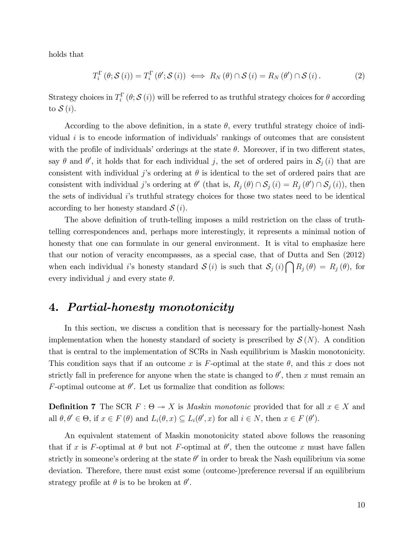holds that

$$
T_i^{\Gamma}(\theta; \mathcal{S}(i)) = T_i^{\Gamma}(\theta'; \mathcal{S}(i)) \iff R_N(\theta) \cap \mathcal{S}(i) = R_N(\theta') \cap \mathcal{S}(i).
$$
 (2)

Strategy choices in  $T_i^{\Gamma}(\theta; \mathcal{S}(i))$  will be referred to as truthful strategy choices for  $\theta$  according to S (*i*).

According to the above definition, in a state  $\theta$ , every truthful strategy choice of individual *i* is to encode information of individuals' rankings of outcomes that are consistent with the profile of individuals' orderings at the state  $\theta$ . Moreover, if in two different states, say  $\theta$  and  $\theta'$ , it holds that for each individual *j*, the set of ordered pairs in  $\mathcal{S}_j(i)$  that are consistent with individual *j*'s ordering at  $\theta$  is identical to the set of ordered pairs that are consistent with individual *j*'s ordering at  $\theta'$  (that is,  $R_j(\theta) \cap S_j(i) = R_j(\theta') \cap S_j(i)$ ), then the sets of individual *i*'s truthful strategy choices for those two states need to be identical according to her honesty standard S (*i*).

The above definition of truth-telling imposes a mild restriction on the class of truthtelling correspondences and, perhaps more interestingly, it represents a minimal notion of honesty that one can formulate in our general environment. It is vital to emphasize here that our notion of veracity encompasses, as a special case, that of Dutta and Sen (2012) when each individual *i*'s honesty standard  $S(i)$  is such that  $S_j(i) \cap R_j(\theta) = R_j(\theta)$ , for every individual *j* and every state  $\theta$ .

## 4. *Partial-honesty monotonicity*

In this section, we discuss a condition that is necessary for the partially-honest Nash implementation when the honesty standard of society is prescribed by  $\mathcal{S}(N)$ . A condition that is central to the implementation of SCRs in Nash equilibrium is Maskin monotonicity. This condition says that if an outcome  $x$  is  $F$ -optimal at the state  $\theta$ , and this  $x$  does not strictly fall in preference for anyone when the state is changed to  $\theta'$ , then *x* must remain an *F*-optimal outcome at  $\theta'$ . Let us formalize that condition as follows:

**Definition 7** The SCR  $F : \Theta \rightarrow X$  is *Maskin monotonic* provided that for all  $x \in X$  and all  $\theta, \theta' \in \Theta$ , if  $x \in F(\theta)$  and  $L_i(\theta, x) \subseteq L_i(\theta', x)$  for all  $i \in N$ , then  $x \in F(\theta')$ .

An equivalent statement of Maskin monotonicity stated above follows the reasoning that if *x* is *F*-optimal at  $\theta$  but not *F*-optimal at  $\theta'$ , then the outcome *x* must have fallen strictly in someone's ordering at the state  $\theta'$  in order to break the Nash equilibrium via some deviation. Therefore, there must exist some (outcome-)preference reversal if an equilibrium strategy profile at  $\theta$  is to be broken at  $\theta'$ .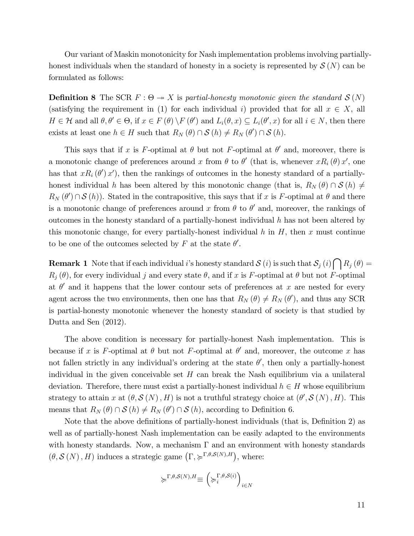Our variant of Maskin monotonicity for Nash implementation problems involving partiallyhonest individuals when the standard of honesty in a society is represented by  $\mathcal{S}(N)$  can be formulated as follows:

**Definition 8** The SCR  $F : \Theta \rightarrow X$  is partial-honesty monotonic given the standard  $\mathcal{S}(N)$ (satisfying the requirement in (1) for each individual *i*) provided that for all  $x \in X$ , all  $H \in \mathcal{H}$  and all  $\theta, \theta' \in \Theta$ , if  $x \in F(\theta) \setminus F(\theta')$  and  $L_i(\theta, x) \subseteq L_i(\theta', x)$  for all  $i \in N$ , then there exists at least one  $h \in H$  such that  $R_N(\theta) \cap S(h) \neq R_N(\theta') \cap S(h)$ .

This says that if *x* is *F*-optimal at  $\theta$  but not *F*-optimal at  $\theta'$  and, moreover, there is a monotonic change of preferences around *x* from  $\theta$  to  $\theta'$  (that is, whenever  $xR_i(\theta)x'$ , one has that  $xR_i(\theta')x'$ , then the rankings of outcomes in the honesty standard of a partiallyhonest individual *h* has been altered by this monotonic change (that is,  $R_N(\theta) \cap S(h) \neq$  $R_N(\theta') \cap S(h)$ . Stated in the contrapositive, this says that if *x* is *F*-optimal at  $\theta$  and there is a monotonic change of preferences around *x* from  $\theta$  to  $\theta'$  and, moreover, the rankings of outcomes in the honesty standard of a partially-honest individual *h* has not been altered by this monotonic change, for every partially-honest individual  $h$  in  $H$ , then  $x$  must continue to be one of the outcomes selected by  $F$  at the state  $\theta'$ .

**Remark 1** Note that if each individual *i*'s honesty standard  $S(i)$  is such that  $S_j(i) \cap R_j(\theta) =$  $R_i(\theta)$ , for every individual *j* and every state  $\theta$ , and if *x* is *F*-optimal at  $\theta$  but not *F*-optimal at  $\theta'$  and it happens that the lower contour sets of preferences at x are nested for every agent across the two environments, then one has that  $R_N(\theta) \neq R_N(\theta')$ , and thus any SCR is partial-honesty monotonic whenever the honesty standard of society is that studied by Dutta and Sen (2012).

The above condition is necessary for partially-honest Nash implementation. This is because if *x* is *F*-optimal at  $\theta$  but not *F*-optimal at  $\theta'$  and, moreover, the outcome *x* has not fallen strictly in any individual's ordering at the state  $\theta'$ , then only a partially-honest individual in the given conceivable set *H* can break the Nash equilibrium via a unilateral deviation. Therefore, there must exist a partially-honest individual  $h \in H$  whose equilibrium strategy to attain *x* at  $(\theta, \mathcal{S}(N), H)$  is not a truthful strategy choice at  $(\theta', \mathcal{S}(N), H)$ . This means that  $R_N(\theta) \cap S(h) \neq R_N(\theta') \cap S(h)$ , according to Definition 6.

Note that the above definitions of partially-honest individuals (that is, Definition 2) as well as of partially-honest Nash implementation can be easily adapted to the environments with honesty standards. Now, a mechanism  $\Gamma$  and an environment with honesty standards  $(\theta, \mathcal{S}(N), H)$  induces a strategic game  $(\Gamma, \succcurlyeq^{\Gamma, \theta, \mathcal{S}(N), H})$ , where:

$$
\succcurlyeq^{\Gamma,\theta,\mathcal{S}(N),H} \equiv \left(\succcurlyeq^{\Gamma,\theta,\mathcal{S}(i)}_i\right)_{i\in N}
$$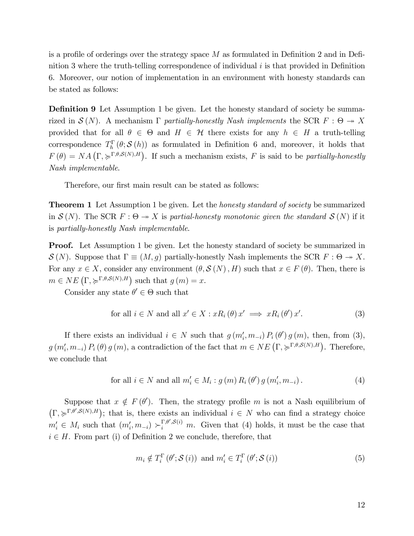is a profile of orderings over the strategy space *M* as formulated in Definition 2 and in Definition 3 where the truth-telling correspondence of individual *i* is that provided in Definition 6. Moreover, our notion of implementation in an environment with honesty standards can be stated as follows:

Definition 9 Let Assumption 1 be given. Let the honesty standard of society be summarized in  $\mathcal{S}(N)$ . A mechanism  $\Gamma$  *partially-honestly Nash implements* the SCR  $F : \Theta \to X$ provided that for all  $\theta \in \Theta$  and  $H \in \mathcal{H}$  there exists for any  $h \in H$  a truth-telling correspondence  $T_h^{\Gamma}(\theta; \mathcal{S}(h))$  as formulated in Definition 6 and, moreover, it holds that  $F(\theta) = NA \left( \Gamma, \succcurlyeq^{\Gamma, \theta, \mathcal{S}(N), H} \right)$ . If such a mechanism exists, *F* is said to be *partially-honestly Nash implementable*.

Therefore, our first main result can be stated as follows:

Theorem 1 Let Assumption 1 be given. Let the *honesty standard of society* be summarized in  $\mathcal{S}(N)$ . The SCR  $F : \Theta \to X$  is partial-honesty monotonic given the standard  $\mathcal{S}(N)$  if it is *partially-honestly Nash implementable*.

**Proof.** Let Assumption 1 be given. Let the honesty standard of society be summarized in  $\mathcal{S}(N)$ . Suppose that  $\Gamma \equiv (M,g)$  partially-honestly Nash implements the SCR  $F : \Theta \to X$ . For any  $x \in X$ , consider any environment  $(\theta, \mathcal{S}(N), H)$  such that  $x \in F(\theta)$ . Then, there is  $m \in NE\left(\Gamma, \succcurlyeq^{\Gamma, \theta, \mathcal{S}(N), H}\right)$  such that  $g(m) = x$ .

Consider any state  $\theta' \in \Theta$  such that

for all 
$$
i \in N
$$
 and all  $x' \in X : xR_i(\theta)x' \implies xR_i(\theta')x'$ . (3)

If there exists an individual  $i \in N$  such that  $g(m'_i, m_{-i}) P_i(\theta') g(m)$ , then, from (3),  $g(m'_{i}, m_{-i}) P_{i}(\theta) g(m)$ , a contradiction of the fact that  $m \in NE(\Gamma, \succcurlyeq^{\Gamma, \theta, \mathcal{S}(N), H})$ . Therefore, we conclude that

for all 
$$
i \in N
$$
 and all  $m'_i \in M_i : g(m) R_i(\theta') g(m'_i, m_{-i})$ . (4)

Suppose that  $x \notin F(\theta')$ . Then, the strategy profile *m* is not a Nash equilibrium of  $(\Gamma, \succcurlyeq^{\Gamma, \theta', \mathcal{S}(N), H})$ ; that is, there exists an individual  $i \in N$  who can find a strategy choice  $m'_i \in M_i$  such that  $(m'_i, m_{-i}) \succ_i^{\Gamma, \theta', \mathcal{S}(i)} m$ . Given that (4) holds, it must be the case that  $i \in H$ . From part (i) of Definition 2 we conclude, therefore, that

$$
m_i \notin T_i^{\Gamma}(\theta'; \mathcal{S}(i)) \text{ and } m'_i \in T_i^{\Gamma}(\theta'; \mathcal{S}(i))
$$
\n
$$
(5)
$$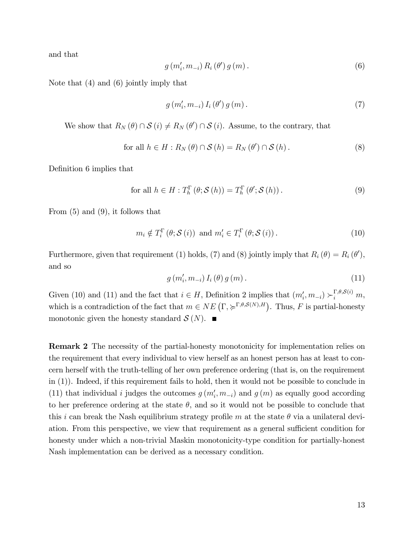and that

$$
g(m'_{i}, m_{-i}) R_{i}(\theta') g(m).
$$
 (6)

Note that (4) and (6) jointly imply that

$$
g(m'_{i}, m_{-i}) I_{i}(\theta') g(m). \qquad (7)
$$

We show that  $R_N(\theta) \cap S(i) \neq R_N(\theta') \cap S(i)$ . Assume, to the contrary, that

for all 
$$
h \in H : R_N(\theta) \cap S(h) = R_N(\theta') \cap S(h)
$$
. (8)

Definition 6 implies that

$$
\text{for all } h \in H: T_h^{\Gamma}(\theta; \mathcal{S}(h)) = T_h^{\Gamma}(\theta'; \mathcal{S}(h)).
$$
\n
$$
(9)
$$

From (5) and (9), it follows that

$$
m_i \notin T_i^{\Gamma}(\theta; \mathcal{S}(i)) \text{ and } m'_i \in T_i^{\Gamma}(\theta; \mathcal{S}(i)).
$$
\n(10)

Furthermore, given that requirement (1) holds, (7) and (8) jointly imply that  $R_i(\theta) = R_i(\theta')$ , and so

$$
g(m'_{i}, m_{-i}) I_{i}(\theta) g(m). \qquad (11)
$$

Given (10) and (11) and the fact that  $i \in H$ , Definition 2 implies that  $(m'_i, m_{-i}) \succ_i^{\Gamma, \theta, \mathcal{S}(i)} m$ , which is a contradiction of the fact that  $m \in NE\left(\Gamma, \succcurlyeq^{\Gamma,\theta,S(N),H}\right)$ . Thus, F is partial-honesty monotonic given the honesty standard  $\mathcal{S}(N)$ .

Remark 2 The necessity of the partial-honesty monotonicity for implementation relies on the requirement that every individual to view herself as an honest person has at least to concern herself with the truth-telling of her own preference ordering (that is, on the requirement in (1)). Indeed, if this requirement fails to hold, then it would not be possible to conclude in (11) that individual *i* judges the outcomes  $g(m'_i, m_{-i})$  and  $g(m)$  as equally good according to her preference ordering at the state  $\theta$ , and so it would not be possible to conclude that this *i* can break the Nash equilibrium strategy profile *m* at the state  $\theta$  via a unilateral deviation. From this perspective, we view that requirement as a general sufficient condition for honesty under which a non-trivial Maskin monotonicity-type condition for partially-honest Nash implementation can be derived as a necessary condition.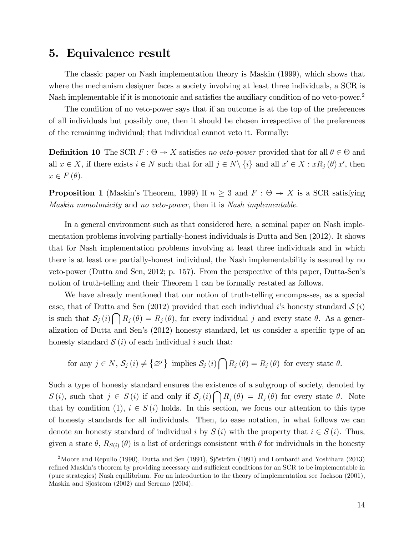## 5. Equivalence result

The classic paper on Nash implementation theory is Maskin (1999), which shows that where the mechanism designer faces a society involving at least three individuals, a SCR is Nash implementable if it is monotonic and satisfies the auxiliary condition of no veto-power.2

The condition of no veto-power says that if an outcome is at the top of the preferences of all individuals but possibly one, then it should be chosen irrespective of the preferences of the remaining individual; that individual cannot veto it. Formally:

**Definition 10** The SCR  $F : \Theta \to X$  satisfies *no veto-power* provided that for all  $\theta \in \Theta$  and all  $x \in X$ , if there exists  $i \in N$  such that for all  $j \in N \setminus \{i\}$  and all  $x' \in X : xR_j(\theta) x'$ , then  $x \in F(\theta)$ .

**Proposition 1** (Maskin's Theorem, 1999) If  $n \geq 3$  and  $F : \Theta \rightarrow X$  is a SCR satisfying *Maskin monotonicity* and *no veto-power*, then it is *Nash implementable*.

In a general environment such as that considered here, a seminal paper on Nash implementation problems involving partially-honest individuals is Dutta and Sen (2012). It shows that for Nash implementation problems involving at least three individuals and in which there is at least one partially-honest individual, the Nash implementability is assured by no veto-power (Dutta and Sen, 2012; p. 157). From the perspective of this paper, Dutta-Sen's notion of truth-telling and their Theorem 1 can be formally restated as follows.

We have already mentioned that our notion of truth-telling encompasses, as a special case, that of Dutta and Sen (2012) provided that each individual *i*'s honesty standard  $S(i)$ is such that  $S_j(i) \cap R_j(\theta) = R_j(\theta)$ , for every individual *j* and every state  $\theta$ . As a generalization of Dutta and Sen's (2012) honesty standard, let us consider a specific type of an honesty standard  $S(i)$  of each individual *i* such that:

for any  $j \in N$ ,  $S_j(i) \neq {\varnothing}^j$  implies  $S_j(i) \cap R_j(\theta) = R_j(\theta)$  for every state  $\theta$ .

Such a type of honesty standard ensures the existence of a subgroup of society, denoted by *S* (*i*), such that  $j \in S(i)$  if and only if  $S_j(i) \cap R_j(\theta) = R_j(\theta)$  for every state  $\theta$ . Note that by condition (1),  $i \in S(i)$  holds. In this section, we focus our attention to this type of honesty standards for all individuals. Then, to ease notation, in what follows we can denote an honesty standard of individual *i* by  $S(i)$  with the property that  $i \in S(i)$ . Thus, given a state  $\theta$ ,  $R_{S(i)}(\theta)$  is a list of orderings consistent with  $\theta$  for individuals in the honesty

<sup>2</sup>Moore and Repullo (1990), Dutta and Sen (1991), Sjöström (1991) and Lombardi and Yoshihara (2013) refined Maskin's theorem by providing necessary and sufficient conditions for an SCR to be implementable in (pure strategies) Nash equilibrium. For an introduction to the theory of implementation see Jackson (2001), Maskin and Sjöström (2002) and Serrano (2004).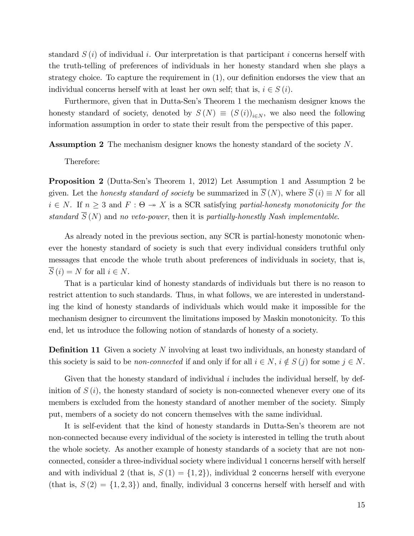standard *S* (*i*) of individual *i*. Our interpretation is that participant *i* concerns herself with the truth-telling of preferences of individuals in her honesty standard when she plays a strategy choice. To capture the requirement in (1), our definition endorses the view that an individual concerns herself with at least her own self; that is,  $i \in S(i)$ .

Furthermore, given that in Dutta-Sen's Theorem 1 the mechanism designer knows the honesty standard of society, denoted by  $S(N) \equiv (S(i))_{i \in N}$ , we also need the following information assumption in order to state their result from the perspective of this paper.

Assumption 2 The mechanism designer knows the honesty standard of the society *N*.

Therefore:

Proposition 2 (Dutta-Sen's Theorem 1, 2012) Let Assumption 1 and Assumption 2 be given. Let the *honesty standard of society* be summarized in  $\overline{S}(N)$ , where  $\overline{S}(i) \equiv N$  for all  $i \in N$ . If  $n \geq 3$  and  $F : \Theta \to X$  is a SCR satisfying *partial-honesty monotonicity for the standard*  $\overline{S}(N)$  and *no veto-power*, then it is *partially-honestly Nash implementable.* 

As already noted in the previous section, any SCR is partial-honesty monotonic whenever the honesty standard of society is such that every individual considers truthful only messages that encode the whole truth about preferences of individuals in society, that is,  $\overline{S}(i) = N$  for all  $i \in N$ .

That is a particular kind of honesty standards of individuals but there is no reason to restrict attention to such standards. Thus, in what follows, we are interested in understanding the kind of honesty standards of individuals which would make it impossible for the mechanism designer to circumvent the limitations imposed by Maskin monotonicity. To this end, let us introduce the following notion of standards of honesty of a society.

Definition 11 Given a society *N* involving at least two individuals, an honesty standard of this society is said to be *non-connected* if and only if for all  $i \in N$ ,  $i \notin S(j)$  for some  $j \in N$ .

Given that the honesty standard of individual *i* includes the individual herself, by definition of  $S(i)$ , the honesty standard of society is non-connected whenever every one of its members is excluded from the honesty standard of another member of the society. Simply put, members of a society do not concern themselves with the same individual.

It is self-evident that the kind of honesty standards in Dutta-Sen's theorem are not non-connected because every individual of the society is interested in telling the truth about the whole society. As another example of honesty standards of a society that are not nonconnected, consider a three-individual society where individual 1 concerns herself with herself and with individual 2 (that is,  $S(1) = \{1, 2\}$ ), individual 2 concerns herself with everyone (that is,  $S(2) = \{1, 2, 3\}$ ) and, finally, individual 3 concerns herself with herself and with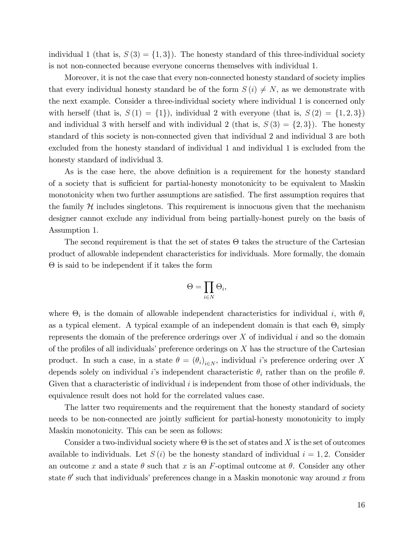individual 1 (that is,  $S(3) = \{1,3\}$ ). The honesty standard of this three-individual society is not non-connected because everyone concerns themselves with individual 1.

Moreover, it is not the case that every non-connected honesty standard of society implies that every individual honesty standard be of the form  $S(i) \neq N$ , as we demonstrate with the next example. Consider a three-individual society where individual 1 is concerned only with herself (that is,  $S(1) = \{1\}$ ), individual 2 with everyone (that is,  $S(2) = \{1, 2, 3\}$ ) and individual 3 with herself and with individual 2 (that is,  $S(3) = \{2, 3\}$ ). The honesty standard of this society is non-connected given that individual 2 and individual 3 are both excluded from the honesty standard of individual 1 and individual 1 is excluded from the honesty standard of individual 3.

As is the case here, the above definition is a requirement for the honesty standard of a society that is sufficient for partial-honesty monotonicity to be equivalent to Maskin monotonicity when two further assumptions are satisfied. The first assumption requires that the family  $H$  includes singletons. This requirement is innocuous given that the mechanism designer cannot exclude any individual from being partially-honest purely on the basis of Assumption 1.

The second requirement is that the set of states  $\Theta$  takes the structure of the Cartesian product of allowable independent characteristics for individuals. More formally, the domain Θ is said to be independent if it takes the form

$$
\Theta = \prod_{i \in N} \Theta_i,
$$

where  $\Theta_i$  is the domain of allowable independent characteristics for individual *i*, with  $\theta_i$ as a typical element. A typical example of an independent domain is that each  $\Theta_i$  simply represents the domain of the preference orderings over *X* of individual *i* and so the domain of the profiles of all individuals' preference orderings on *X* has the structure of the Cartesian product. In such a case, in a state  $\theta = (\theta_i)_{i \in N}$ , individual *i*'s preference ordering over *X* depends solely on individual *i*'s independent characteristic  $\theta_i$  rather than on the profile  $\theta$ . Given that a characteristic of individual *i* is independent from those of other individuals, the equivalence result does not hold for the correlated values case.

The latter two requirements and the requirement that the honesty standard of society needs to be non-connected are jointly sufficient for partial-honesty monotonicity to imply Maskin monotonicity. This can be seen as follows:

Consider a two-individual society where Θ is the set of states and *X* is the set of outcomes available to individuals. Let  $S(i)$  be the honesty standard of individual  $i = 1, 2$ . Consider an outcome x and a state  $\theta$  such that x is an F-optimal outcome at  $\theta$ . Consider any other state  $\theta'$  such that individuals' preferences change in a Maskin monotonic way around x from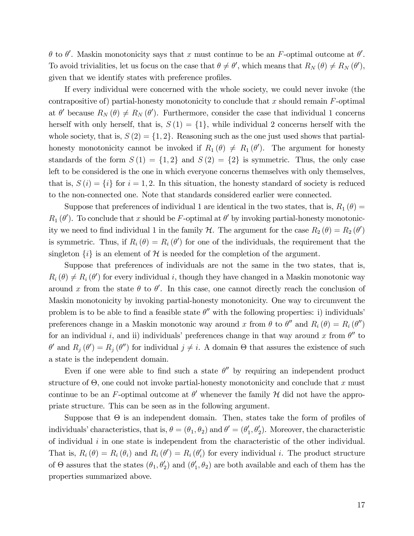$\theta$  to  $\theta'$ . Maskin monotonicity says that *x* must continue to be an *F*-optimal outcome at  $\theta'$ . To avoid trivialities, let us focus on the case that  $\theta \neq \theta'$ , which means that  $R_N(\theta) \neq R_N(\theta')$ , given that we identify states with preference profiles.

If every individual were concerned with the whole society, we could never invoke (the contrapositive of) partial-honesty monotonicity to conclude that *x* should remain *F*-optimal at  $\theta'$  because  $R_N(\theta) \neq R_N(\theta')$ . Furthermore, consider the case that individual 1 concerns herself with only herself, that is,  $S(1) = \{1\}$ , while individual 2 concerns herself with the whole society, that is,  $S(2) = \{1, 2\}$ . Reasoning such as the one just used shows that partialhonesty monotonicity cannot be invoked if  $R_1(\theta) \neq R_1(\theta')$ . The argument for honesty standards of the form  $S(1) = \{1,2\}$  and  $S(2) = \{2\}$  is symmetric. Thus, the only case left to be considered is the one in which everyone concerns themselves with only themselves, that is,  $S(i) = \{i\}$  for  $i = 1, 2$ . In this situation, the honesty standard of society is reduced to the non-connected one. Note that standards considered earlier were connected.

Suppose that preferences of individual 1 are identical in the two states, that is,  $R_1(\theta)$  =  $R_1(\theta')$ . To conclude that *x* should be *F*-optimal at  $\theta'$  by invoking partial-honesty monotonicity we need to find individual 1 in the family  $H$ . The argument for the case  $R_2(\theta) = R_2(\theta')$ is symmetric. Thus, if  $R_i(\theta) = R_i(\theta')$  for one of the individuals, the requirement that the singleton  $\{i\}$  is an element of H is needed for the completion of the argument.

Suppose that preferences of individuals are not the same in the two states, that is,  $R_i(\theta) \neq R_i(\theta')$  for every individual *i*, though they have changed in a Maskin monotonic way around x from the state  $\theta$  to  $\theta'$ . In this case, one cannot directly reach the conclusion of Maskin monotonicity by invoking partial-honesty monotonicity. One way to circumvent the problem is to be able to find a feasible state  $\theta''$  with the following properties: i) individuals' preferences change in a Maskin monotonic way around *x* from  $\theta$  to  $\theta''$  and  $R_i(\theta) = R_i(\theta'')$ for an individual *i*, and ii) individuals' preferences change in that way around x from  $\theta''$  to  $\theta'$  and  $R_j(\theta') = R_j(\theta'')$  for individual  $j \neq i$ . A domain  $\Theta$  that assures the existence of such a state is the independent domain.

Even if one were able to find such a state  $\theta''$  by requiring an independent product structure of Θ, one could not invoke partial-honesty monotonicity and conclude that *x* must continue to be an *F*-optimal outcome at  $\theta'$  whenever the family  $\mathcal H$  did not have the appropriate structure. This can be seen as in the following argument.

Suppose that  $\Theta$  is an independent domain. Then, states take the form of profiles of individuals' characteristics, that is,  $\theta = (\theta_1, \theta_2)$  and  $\theta' = (\theta'_1, \theta'_2)$ . Moreover, the characteristic of individual *i* in one state is independent from the characteristic of the other individual. That is,  $R_i(\theta) = R_i(\theta_i)$  and  $R_i(\theta') = R_i(\theta_i')$  for every individual *i*. The product structure of  $\Theta$  assures that the states  $(\theta_1, \theta_2')$  and  $(\theta_1', \theta_2)$  are both available and each of them has the properties summarized above.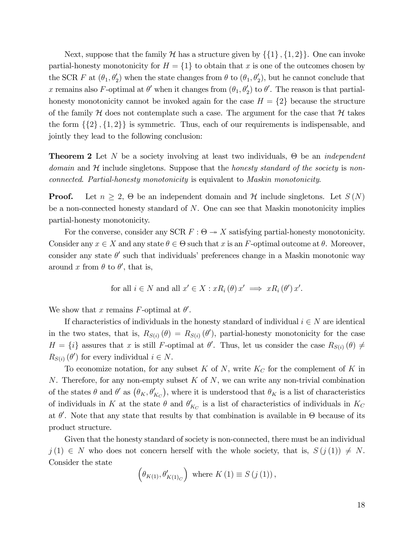Next, suppose that the family  $H$  has a structure given by  $\{\{1\}, \{1, 2\}\}\$ . One can invoke partial-honesty monotonicity for  $H = \{1\}$  to obtain that *x* is one of the outcomes chosen by the SCR *F* at  $(\theta_1, \theta_2')$  when the state changes from  $\theta$  to  $(\theta_1, \theta_2')$ , but he cannot conclude that *x* remains also *F*-optimal at  $\theta'$  when it changes from  $(\theta_1, \theta_2')$  to  $\theta'$ . The reason is that partialhonesty monotonicity cannot be invoked again for the case  $H = \{2\}$  because the structure of the family  $H$  does not contemplate such a case. The argument for the case that  $H$  takes the form  $\{\{2\},\{1,2\}\}\$ is symmetric. Thus, each of our requirements is indispensable, and jointly they lead to the following conclusion:

Theorem 2 Let *N* be a society involving at least two individuals, Θ be an *independent* domain and H include singletons. Suppose that the *honesty standard of the society* is *nonconnected*. *Partial-honesty monotonicity* is equivalent to *Maskin monotonicity*.

**Proof.** Let  $n \geq 2$ ,  $\Theta$  be an independent domain and  $\mathcal{H}$  include singletons. Let  $S(N)$ be a non-connected honesty standard of *N*. One can see that Maskin monotonicity implies partial-honesty monotonicity.

For the converse, consider any SCR  $F: \Theta \rightarrow X$  satisfying partial-honesty monotonicity. Consider any  $x \in X$  and any state  $\theta \in \Theta$  such that *x* is an *F*-optimal outcome at  $\theta$ . Moreover, consider any state  $\theta'$  such that individuals' preferences change in a Maskin monotonic way around x from  $\theta$  to  $\theta'$ , that is,

for all 
$$
i \in N
$$
 and all  $x' \in X : xR_i(\theta)x' \implies xR_i(\theta')x'$ .

We show that *x* remains *F*-optimal at  $\theta'$ .

If characteristics of individuals in the honesty standard of individual  $i \in N$  are identical in the two states, that is,  $R_{S(i)}(\theta) = R_{S(i)}(\theta')$ , partial-honesty monotonicity for the case  $H = \{i\}$  assures that *x* is still *F*-optimal at  $\theta'$ . Thus, let us consider the case  $R_{S(i)}(\theta) \neq 0$  $R_{S(i)}(\theta')$  for every individual  $i \in N$ .

To economize notation, for any subset *K* of *N*, write *K<sup>C</sup>* for the complement of *K* in *N*. Therefore, for any non-empty subset *K* of *N*, we can write any non-trivial combination of the states  $\theta$  and  $\theta'$  as  $(\theta_K, \theta'_{K_C})$ , where it is understood that  $\theta_K$  is a list of characteristics of individuals in *K* at the state  $\theta$  and  $\theta'_{K_C}$  is a list of characteristics of individuals in  $K_C$ at  $\theta'$ . Note that any state that results by that combination is available in  $\Theta$  because of its product structure.

Given that the honesty standard of society is non-connected, there must be an individual  $j(1) \in N$  who does not concern herself with the whole society, that is,  $S(j(1)) \neq N$ . Consider the state

$$
\left(\theta_{K(1)}, \theta'_{K(1)_C}\right)
$$
 where  $K(1) \equiv S(j(1)),$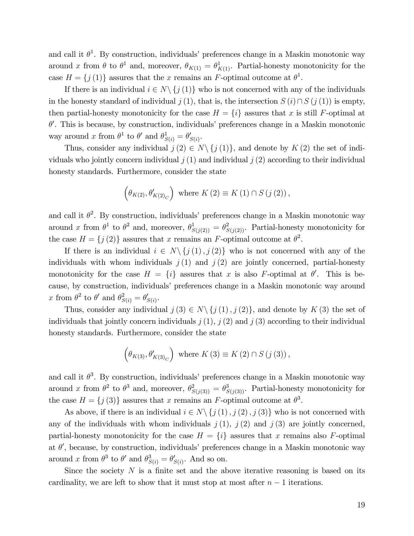and call it  $\theta^1$ . By construction, individuals' preferences change in a Maskin monotonic way around *x* from  $\theta$  to  $\theta^1$  and, moreover,  $\theta_{K(1)} = \theta^1_{K(1)}$ . Partial-honesty monotonicity for the case  $H = \{j(1)\}\$ assures that the *x* remains an *F*-optimal outcome at  $\theta^1$ .

If there is an individual  $i \in N \setminus \{j(1)\}$  who is not concerned with any of the individuals in the honesty standard of individual  $j(1)$ , that is, the intersection  $S(i) \cap S(j(1))$  is empty, then partial-honesty monotonicity for the case  $H = \{i\}$  assures that *x* is still *F*-optimal at  $\theta'$ . This is because, by construction, individuals' preferences change in a Maskin monotonic way around *x* from  $\theta^1$  to  $\theta'$  and  $\theta^1_{S(i)} = \theta'_{S(i)}$ .

Thus, consider any individual  $j(2) \in N \setminus \{j(1)\}\)$ , and denote by  $K(2)$  the set of individuals who jointly concern individual  $j(1)$  and individual  $j(2)$  according to their individual honesty standards. Furthermore, consider the state

$$
\left(\theta_{K(2)}, \theta'_{K(2)_C}\right)
$$
 where  $K(2) \equiv K(1) \cap S(j(2))$ ,

and call it  $\theta^2$ . By construction, individuals' preferences change in a Maskin monotonic way around *x* from  $\theta^1$  to  $\theta^2$  and, moreover,  $\theta^1_{S(j(2))} = \theta^2_{S(j(2))}$ . Partial-honesty monotonicity for the case  $H = \{j(2)\}\$ assures that *x* remains an *F*-optimal outcome at  $\theta^2$ .

If there is an individual  $i \in N \setminus \{j(1), j(2)\}$  who is not concerned with any of the individuals with whom individuals  $j(1)$  and  $j(2)$  are jointly concerned, partial-honesty monotonicity for the case  $H = \{i\}$  assures that *x* is also *F*-optimal at  $\theta'$ . This is because, by construction, individuals' preferences change in a Maskin monotonic way around *x* from  $\theta^2$  to  $\theta'$  and  $\theta^2_{S(i)} = \theta'_{S(i)}$ .

Thus, consider any individual  $j(3) \in N \setminus \{j(1), j(2)\}\)$ , and denote by  $K(3)$  the set of individuals that jointly concern individuals  $j(1)$ ,  $j(2)$  and  $j(3)$  according to their individual honesty standards. Furthermore, consider the state

$$
\left(\theta_{K(3)}, \theta'_{K(3)_C}\right)
$$
 where  $K(3) \equiv K(2) \cap S(j(3))$ ,

and call it  $\theta^3$ . By construction, individuals' preferences change in a Maskin monotonic way around *x* from  $\theta^2$  to  $\theta^3$  and, moreover,  $\theta^2_{S(j(3))} = \theta^3_{S(j(3))}$ . Partial-honesty monotonicity for the case  $H = \{j(\mathbf{3})\}$  assures that *x* remains an *F*-optimal outcome at  $\theta^3$ .

As above, if there is an individual  $i \in N \setminus \{j(1), j(2), j(3)\}$  who is not concerned with any of the individuals with whom individuals  $j(1)$ ,  $j(2)$  and  $j(3)$  are jointly concerned, partial-honesty monotonicity for the case  $H = \{i\}$  assures that *x* remains also *F*-optimal at  $\theta'$ , because, by construction, individuals' preferences change in a Maskin monotonic way around *x* from  $\theta^3$  to  $\theta'$  and  $\theta_{S(i)}^3 = \theta'_{S(i)}$ . And so on.

Since the society  $N$  is a finite set and the above iterative reasoning is based on its cardinality, we are left to show that it must stop at most after  $n-1$  iterations.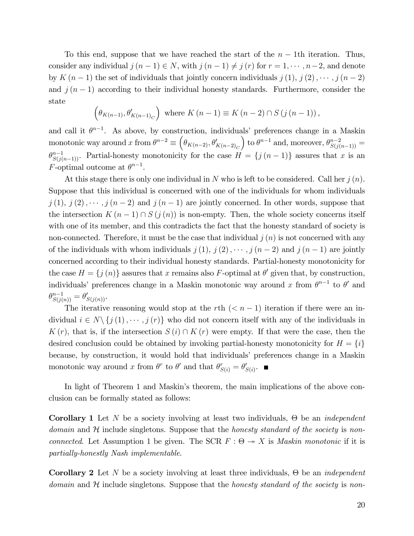To this end, suppose that we have reached the start of the *n* − 1th iteration. Thus, consider any individual  $j(n-1) \in N$ , with  $j(n-1) \neq j(r)$  for  $r = 1, \dots, n-2$ , and denote by  $K(n-1)$  the set of individuals that jointly concern individuals  $j(1), j(2), \cdots, j(n-2)$ and  $j(n-1)$  according to their individual honesty standards. Furthermore, consider the state

$$
\left(\theta_{K(n-1)}, \theta'_{K(n-1)_C}\right)
$$
 where  $K(n-1) \equiv K(n-2) \cap S(j(n-1)),$ 

and call it  $\theta^{n-1}$ . As above, by construction, individuals' preferences change in a Maskin monotonic way around  $x$  from  $\theta^{n-2} \equiv \left(\theta_{K(n-2)}, \theta'_{K(n-2)_C}\right)$  to  $\theta^{n-1}$  and, moreover,  $\theta_{S(j(n-1))}^{n-2} =$  $\theta^{n-1}_{S(j(n-1))}$ . Partial-honesty monotonicity for the case  $H = \{j(n-1)\}\$ assures that *x* is an *F*-optimal outcome at  $\theta^{n-1}$ .

At this stage there is only one individual in *N* who is left to be considered. Call her *j* (*n*). Suppose that this individual is concerned with one of the individuals for whom individuals  $j(1), j(2), \cdots, j(n-2)$  and  $j(n-1)$  are jointly concerned. In other words, suppose that the intersection  $K(n-1) \cap S(j(n))$  is non-empty. Then, the whole society concerns itself with one of its member, and this contradicts the fact that the honesty standard of society is non-connected. Therefore, it must be the case that individual  $j(n)$  is not concerned with any of the individuals with whom individuals  $j(1), j(2), \cdots, j(n-2)$  and  $j(n-1)$  are jointly concerned according to their individual honesty standards. Partial-honesty monotonicity for the case  $H = \{j(n)\}\$ assures that *x* remains also *F*-optimal at  $\theta'$  given that, by construction, individuals' preferences change in a Maskin monotonic way around *x* from  $\theta^{n-1}$  to  $\theta'$  and  $\theta_{S(j(n))}^{n-1} = \theta'_{S(j(n))}.$ 

The iterative reasoning would stop at the  $r$ <sup>th</sup> ( $\lt n-1$ ) iteration if there were an individual  $i \in N \setminus \{j(1), \dots, j(r)\}\$  who did not concern itself with any of the individuals in  $K(r)$ , that is, if the intersection  $S(i) \cap K(r)$  were empty. If that were the case, then the desired conclusion could be obtained by invoking partial-honesty monotonicity for  $H = \{i\}$ because, by construction, it would hold that individuals' preferences change in a Maskin monotonic way around *x* from  $\theta^r$  to  $\theta'$  and that  $\theta^r_{S(i)} = \theta'_{S(i)}$ .

In light of Theorem 1 and Maskin's theorem, the main implications of the above conclusion can be formally stated as follows:

Corollary 1 Let *N* be a society involving at least two individuals, Θ be an *independent* domain and H include singletons. Suppose that the *honesty standard of the society* is *nonconnected.* Let Assumption 1 be given. The SCR  $F : \Theta \rightarrow X$  is *Maskin monotonic* if it is *partially-honestly Nash implementable*.

Corollary 2 Let *N* be a society involving at least three individuals, Θ be an *independent* domain and H include singletons. Suppose that the *honesty standard of the society* is *non-*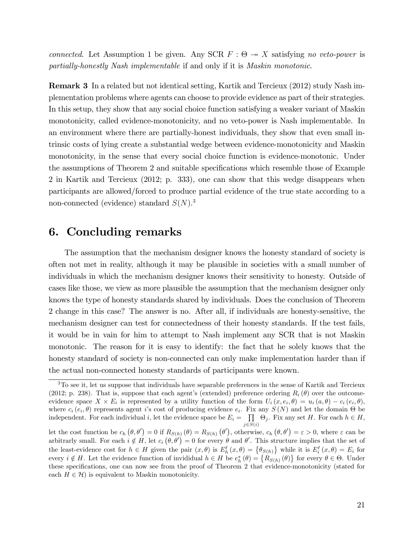*connected.* Let Assumption 1 be given. Any SCR  $F : \Theta \rightarrow X$  satisfying *no veto-power* is *partially-honestly Nash implementable* if and only if it is *Maskin monotonic*.

Remark 3 In a related but not identical setting, Kartik and Tercieux (2012) study Nash implementation problems where agents can choose to provide evidence as part of their strategies. In this setup, they show that any social choice function satisfying a weaker variant of Maskin monotonicity, called evidence-monotonicity, and no veto-power is Nash implementable. In an environment where there are partially-honest individuals, they show that even small intrinsic costs of lying create a substantial wedge between evidence-monotonicity and Maskin monotonicity, in the sense that every social choice function is evidence-monotonic. Under the assumptions of Theorem 2 and suitable specifications which resemble those of Example 2 in Kartik and Tercieux (2012; p. 333), one can show that this wedge disappears when participants are allowed/forced to produce partial evidence of the true state according to a non-connected (evidence) standard *S*(*N*). 3

## 6. Concluding remarks

The assumption that the mechanism designer knows the honesty standard of society is often not met in reality, although it may be plausible in societies with a small number of individuals in which the mechanism designer knows their sensitivity to honesty. Outside of cases like those, we view as more plausible the assumption that the mechanism designer only knows the type of honesty standards shared by individuals. Does the conclusion of Theorem 2 change in this case? The answer is no. After all, if individuals are honesty-sensitive, the mechanism designer can test for connectedness of their honesty standards. If the test fails, it would be in vain for him to attempt to Nash implement any SCR that is not Maskin monotonic. The reason for it is easy to identify: the fact that he solely knows that the honesty standard of society is non-connected can only make implementation harder than if the actual non-connected honesty standards of participants were known.

<sup>&</sup>lt;sup>3</sup>To see it, let us suppose that individuals have separable preferences in the sense of Kartik and Tercieux (2012; p. 238). That is, suppose that each agent's (extended) preference ordering  $R_i(\theta)$  over the outcomeevidence space  $X \times E_i$  is represented by a utility function of the form  $U_i(x, e_i, \theta) = u_i(a, \theta) - c_i(e_i, \theta)$ , where  $c_i(e_i, \theta)$  represents agent *i*'s cost of producing evidence  $e_i$ . Fix any  $S(N)$  and let the domain  $\Theta$  be independent. For each individual *i*, let the evidence space be  $E_i = \prod$  $\prod_{j \in S(i)} \Theta_j$ . Fix any set *H*. For each  $h \in H$ ,

let the cost function be  $c_h(\theta, \theta') = 0$  if  $R_{S(h)}(\theta) = R_{S(h)}(\theta')$ , otherwise,  $c_h(\theta, \theta') = \varepsilon > 0$ , where  $\varepsilon$  can be arbitrarly small. For each  $i \notin H$ , let  $c_i(\theta, \theta') = 0$  for every  $\theta$  and  $\theta'$ . This structure implies that the set of the least-evidence cost for  $h \in H$  given the pair  $(x, \theta)$  is  $E_h^{\ell}(x, \theta) = \{\theta_{S(h)}\}$  while it is  $E_i^{\ell}(x, \theta) = E_i$  for every  $i \notin H$ . Let the evidence function of invididual  $h \in H$  be  $e_h^* (\theta) = \{ R_{S(h)} (\theta) \}$  for every  $\theta \in \Theta$ . Under these specifications, one can now see from the proof of Theorem 2 that evidence-monotonicity (stated for each  $H \in \mathcal{H}$  is equivalent to Maskin monotonicity.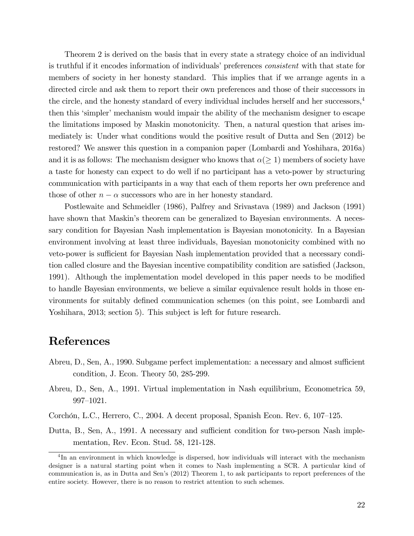Theorem 2 is derived on the basis that in every state a strategy choice of an individual is truthful if it encodes information of individuals' preferences *consistent* with that state for members of society in her honesty standard. This implies that if we arrange agents in a directed circle and ask them to report their own preferences and those of their successors in the circle, and the honesty standard of every individual includes herself and her successors,4 then this 'simpler' mechanism would impair the ability of the mechanism designer to escape the limitations imposed by Maskin monotonicity. Then, a natural question that arises immediately is: Under what conditions would the positive result of Dutta and Sen (2012) be restored? We answer this question in a companion paper (Lombardi and Yoshihara, 2016a) and it is as follows: The mechanism designer who knows that  $\alpha(\geq 1)$  members of society have a taste for honesty can expect to do well if no participant has a veto-power by structuring communication with participants in a way that each of them reports her own preference and those of other  $n - \alpha$  successors who are in her honesty standard.

Postlewaite and Schmeidler (1986), Palfrey and Srivastava (1989) and Jackson (1991) have shown that Maskin's theorem can be generalized to Bayesian environments. A necessary condition for Bayesian Nash implementation is Bayesian monotonicity. In a Bayesian environment involving at least three individuals, Bayesian monotonicity combined with no veto-power is sufficient for Bayesian Nash implementation provided that a necessary condition called closure and the Bayesian incentive compatibility condition are satisfied (Jackson, 1991). Although the implementation model developed in this paper needs to be modified to handle Bayesian environments, we believe a similar equivalence result holds in those environments for suitably defined communication schemes (on this point, see Lombardi and Yoshihara, 2013; section 5). This subject is left for future research.

## References

- Abreu, D., Sen, A., 1990. Subgame perfect implementation: a necessary and almost sufficient condition, J. Econ. Theory 50, 285-299.
- Abreu, D., Sen, A., 1991. Virtual implementation in Nash equilibrium, Econometrica 59, 997—1021.

Corchón, L.C., Herrero, C., 2004. A decent proposal, Spanish Econ. Rev. 6, 107—125.

Dutta, B., Sen, A., 1991. A necessary and sufficient condition for two-person Nash implementation, Rev. Econ. Stud. 58, 121-128.

<sup>&</sup>lt;sup>4</sup>In an environment in which knowledge is dispersed, how individuals will interact with the mechanism designer is a natural starting point when it comes to Nash implementing a SCR. A particular kind of communication is, as in Dutta and Sen's (2012) Theorem 1, to ask participants to report preferences of the entire society. However, there is no reason to restrict attention to such schemes.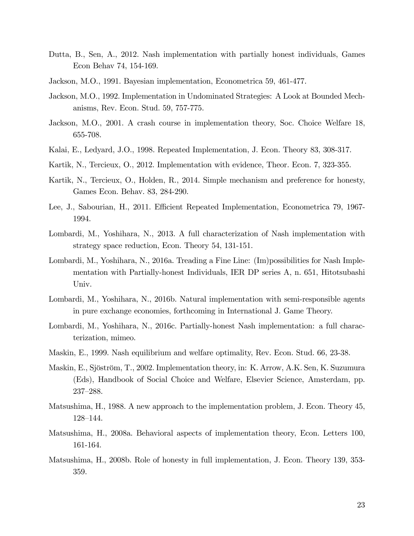- Dutta, B., Sen, A., 2012. Nash implementation with partially honest individuals, Games Econ Behav 74, 154-169.
- Jackson, M.O., 1991. Bayesian implementation, Econometrica 59, 461-477.
- Jackson, M.O., 1992. Implementation in Undominated Strategies: A Look at Bounded Mechanisms, Rev. Econ. Stud. 59, 757-775.
- Jackson, M.O., 2001. A crash course in implementation theory, Soc. Choice Welfare 18, 655-708.
- Kalai, E., Ledyard, J.O., 1998. Repeated Implementation, J. Econ. Theory 83, 308-317.
- Kartik, N., Tercieux, O., 2012. Implementation with evidence, Theor. Econ. 7, 323-355.
- Kartik, N., Tercieux, O., Holden, R., 2014. Simple mechanism and preference for honesty, Games Econ. Behav. 83, 284-290.
- Lee, J., Sabourian, H., 2011. Efficient Repeated Implementation, Econometrica 79, 1967-1994.
- Lombardi, M., Yoshihara, N., 2013. A full characterization of Nash implementation with strategy space reduction, Econ. Theory 54, 131-151.
- Lombardi, M., Yoshihara, N., 2016a. Treading a Fine Line: (Im)possibilities for Nash Implementation with Partially-honest Individuals, IER DP series A, n. 651, Hitotsubashi Univ.
- Lombardi, M., Yoshihara, N., 2016b. Natural implementation with semi-responsible agents in pure exchange economies, forthcoming in International J. Game Theory.
- Lombardi, M., Yoshihara, N., 2016c. Partially-honest Nash implementation: a full characterization, mimeo.
- Maskin, E., 1999. Nash equilibrium and welfare optimality, Rev. Econ. Stud. 66, 23-38.
- Maskin, E., Sjöström, T., 2002. Implementation theory, in: K. Arrow, A.K. Sen, K. Suzumura (Eds), Handbook of Social Choice and Welfare, Elsevier Science, Amsterdam, pp. 237—288.
- Matsushima, H., 1988. A new approach to the implementation problem, J. Econ. Theory 45, 128—144.
- Matsushima, H., 2008a. Behavioral aspects of implementation theory, Econ. Letters 100, 161-164.
- Matsushima, H., 2008b. Role of honesty in full implementation, J. Econ. Theory 139, 353- 359.